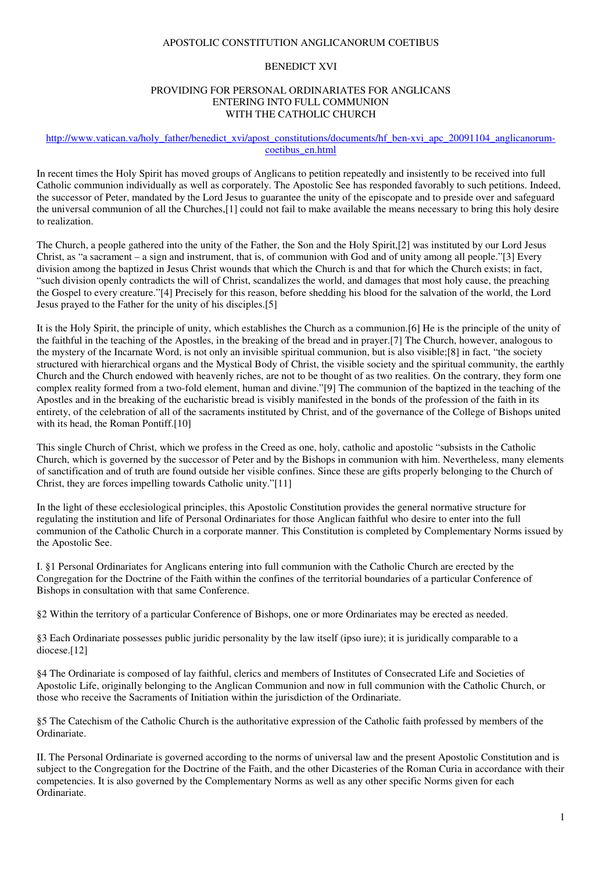## APOSTOLIC CONSTITUTION ANGLICANORUM COETIBUS

## BENEDICT XVI

## PROVIDING FOR PERSONAL ORDINARIATES FOR ANGLICANS ENTERING INTO FULL COMMUNION WITH THE CATHOLIC CHURCH

## http://www.vatican.va/holy\_father/benedict\_xvi/apost\_constitutions/documents/hf\_ben-xvi\_apc\_20091104\_anglicanorumcoetibus\_en.html

In recent times the Holy Spirit has moved groups of Anglicans to petition repeatedly and insistently to be received into full Catholic communion individually as well as corporately. The Apostolic See has responded favorably to such petitions. Indeed, the successor of Peter, mandated by the Lord Jesus to guarantee the unity of the episcopate and to preside over and safeguard the universal communion of all the Churches,[1] could not fail to make available the means necessary to bring this holy desire to realization.

The Church, a people gathered into the unity of the Father, the Son and the Holy Spirit,[2] was instituted by our Lord Jesus Christ, as "a sacrament – a sign and instrument, that is, of communion with God and of unity among all people."[3] Every division among the baptized in Jesus Christ wounds that which the Church is and that for which the Church exists; in fact, "such division openly contradicts the will of Christ, scandalizes the world, and damages that most holy cause, the preaching the Gospel to every creature."[4] Precisely for this reason, before shedding his blood for the salvation of the world, the Lord Jesus prayed to the Father for the unity of his disciples.[5]

It is the Holy Spirit, the principle of unity, which establishes the Church as a communion.[6] He is the principle of the unity of the faithful in the teaching of the Apostles, in the breaking of the bread and in prayer.[7] The Church, however, analogous to the mystery of the Incarnate Word, is not only an invisible spiritual communion, but is also visible;[8] in fact, "the society structured with hierarchical organs and the Mystical Body of Christ, the visible society and the spiritual community, the earthly Church and the Church endowed with heavenly riches, are not to be thought of as two realities. On the contrary, they form one complex reality formed from a two-fold element, human and divine."[9] The communion of the baptized in the teaching of the Apostles and in the breaking of the eucharistic bread is visibly manifested in the bonds of the profession of the faith in its entirety, of the celebration of all of the sacraments instituted by Christ, and of the governance of the College of Bishops united with its head, the Roman Pontiff.[10]

This single Church of Christ, which we profess in the Creed as one, holy, catholic and apostolic "subsists in the Catholic Church, which is governed by the successor of Peter and by the Bishops in communion with him. Nevertheless, many elements of sanctification and of truth are found outside her visible confines. Since these are gifts properly belonging to the Church of Christ, they are forces impelling towards Catholic unity."[11]

In the light of these ecclesiological principles, this Apostolic Constitution provides the general normative structure for regulating the institution and life of Personal Ordinariates for those Anglican faithful who desire to enter into the full communion of the Catholic Church in a corporate manner. This Constitution is completed by Complementary Norms issued by the Apostolic See.

I. §1 Personal Ordinariates for Anglicans entering into full communion with the Catholic Church are erected by the Congregation for the Doctrine of the Faith within the confines of the territorial boundaries of a particular Conference of Bishops in consultation with that same Conference.

§2 Within the territory of a particular Conference of Bishops, one or more Ordinariates may be erected as needed.

§3 Each Ordinariate possesses public juridic personality by the law itself (ipso iure); it is juridically comparable to a diocese.[12]

§4 The Ordinariate is composed of lay faithful, clerics and members of Institutes of Consecrated Life and Societies of Apostolic Life, originally belonging to the Anglican Communion and now in full communion with the Catholic Church, or those who receive the Sacraments of Initiation within the jurisdiction of the Ordinariate.

§5 The Catechism of the Catholic Church is the authoritative expression of the Catholic faith professed by members of the Ordinariate.

II. The Personal Ordinariate is governed according to the norms of universal law and the present Apostolic Constitution and is subject to the Congregation for the Doctrine of the Faith, and the other Dicasteries of the Roman Curia in accordance with their competencies. It is also governed by the Complementary Norms as well as any other specific Norms given for each Ordinariate.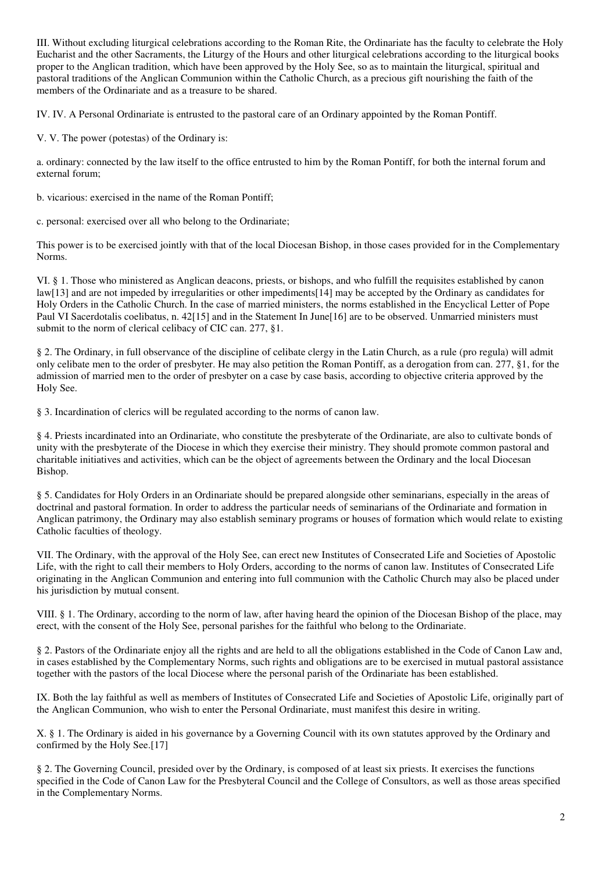III. Without excluding liturgical celebrations according to the Roman Rite, the Ordinariate has the faculty to celebrate the Holy Eucharist and the other Sacraments, the Liturgy of the Hours and other liturgical celebrations according to the liturgical books proper to the Anglican tradition, which have been approved by the Holy See, so as to maintain the liturgical, spiritual and pastoral traditions of the Anglican Communion within the Catholic Church, as a precious gift nourishing the faith of the members of the Ordinariate and as a treasure to be shared.

IV. IV. A Personal Ordinariate is entrusted to the pastoral care of an Ordinary appointed by the Roman Pontiff.

V. V. The power (potestas) of the Ordinary is:

a. ordinary: connected by the law itself to the office entrusted to him by the Roman Pontiff, for both the internal forum and external forum;

b. vicarious: exercised in the name of the Roman Pontiff;

c. personal: exercised over all who belong to the Ordinariate;

This power is to be exercised jointly with that of the local Diocesan Bishop, in those cases provided for in the Complementary Norms.

VI. § 1. Those who ministered as Anglican deacons, priests, or bishops, and who fulfill the requisites established by canon law[13] and are not impeded by irregularities or other impediments[14] may be accepted by the Ordinary as candidates for Holy Orders in the Catholic Church. In the case of married ministers, the norms established in the Encyclical Letter of Pope Paul VI Sacerdotalis coelibatus, n. 42[15] and in the Statement In June[16] are to be observed. Unmarried ministers must submit to the norm of clerical celibacy of CIC can. 277, §1.

§ 2. The Ordinary, in full observance of the discipline of celibate clergy in the Latin Church, as a rule (pro regula) will admit only celibate men to the order of presbyter. He may also petition the Roman Pontiff, as a derogation from can. 277, §1, for the admission of married men to the order of presbyter on a case by case basis, according to objective criteria approved by the Holy See.

§ 3. Incardination of clerics will be regulated according to the norms of canon law.

§ 4. Priests incardinated into an Ordinariate, who constitute the presbyterate of the Ordinariate, are also to cultivate bonds of unity with the presbyterate of the Diocese in which they exercise their ministry. They should promote common pastoral and charitable initiatives and activities, which can be the object of agreements between the Ordinary and the local Diocesan Bishop.

§ 5. Candidates for Holy Orders in an Ordinariate should be prepared alongside other seminarians, especially in the areas of doctrinal and pastoral formation. In order to address the particular needs of seminarians of the Ordinariate and formation in Anglican patrimony, the Ordinary may also establish seminary programs or houses of formation which would relate to existing Catholic faculties of theology.

VII. The Ordinary, with the approval of the Holy See, can erect new Institutes of Consecrated Life and Societies of Apostolic Life, with the right to call their members to Holy Orders, according to the norms of canon law. Institutes of Consecrated Life originating in the Anglican Communion and entering into full communion with the Catholic Church may also be placed under his jurisdiction by mutual consent.

VIII. § 1. The Ordinary, according to the norm of law, after having heard the opinion of the Diocesan Bishop of the place, may erect, with the consent of the Holy See, personal parishes for the faithful who belong to the Ordinariate.

§ 2. Pastors of the Ordinariate enjoy all the rights and are held to all the obligations established in the Code of Canon Law and, in cases established by the Complementary Norms, such rights and obligations are to be exercised in mutual pastoral assistance together with the pastors of the local Diocese where the personal parish of the Ordinariate has been established.

IX. Both the lay faithful as well as members of Institutes of Consecrated Life and Societies of Apostolic Life, originally part of the Anglican Communion, who wish to enter the Personal Ordinariate, must manifest this desire in writing.

X. § 1. The Ordinary is aided in his governance by a Governing Council with its own statutes approved by the Ordinary and confirmed by the Holy See.[17]

§ 2. The Governing Council, presided over by the Ordinary, is composed of at least six priests. It exercises the functions specified in the Code of Canon Law for the Presbyteral Council and the College of Consultors, as well as those areas specified in the Complementary Norms.